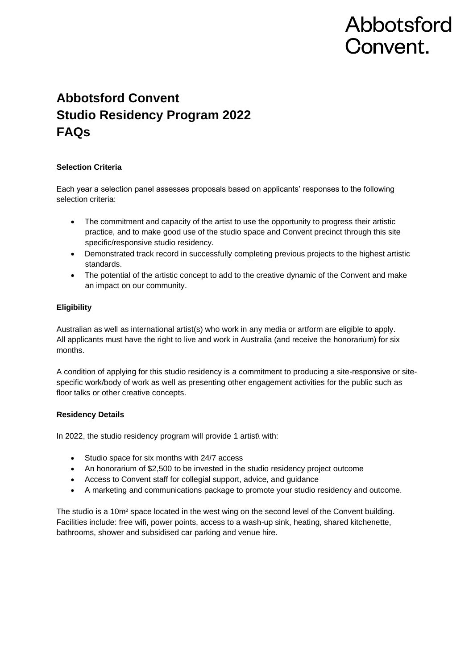# Abbotsford Convent.

# **Abbotsford Convent Studio Residency Program 2022 FAQs**

# **Selection Criteria**

Each year a selection panel assesses proposals based on applicants' responses to the following selection criteria:

- The commitment and capacity of the artist to use the opportunity to progress their artistic practice, and to make good use of the studio space and Convent precinct through this site specific/responsive studio residency.
- Demonstrated track record in successfully completing previous projects to the highest artistic standards.
- The potential of the artistic concept to add to the creative dynamic of the Convent and make an impact on our community.

# **Eligibility**

Australian as well as international artist(s) who work in any media or artform are eligible to apply. All applicants must have the right to live and work in Australia (and receive the honorarium) for six months.

A condition of applying for this studio residency is a commitment to producing a site-responsive or sitespecific work/body of work as well as presenting other engagement activities for the public such as floor talks or other creative concepts.

## **Residency Details**

In 2022, the studio residency program will provide 1 artist\ with:

- Studio space for six months with 24/7 access
- An honorarium of \$2,500 to be invested in the studio residency project outcome
- Access to Convent staff for collegial support, advice, and guidance
- A marketing and communications package to promote your studio residency and outcome.

The studio is a 10m² space located in the west wing on the second level of the Convent building. Facilities include: free wifi, power points, access to a wash-up sink, heating, shared kitchenette, bathrooms, shower and subsidised car parking and venue hire.